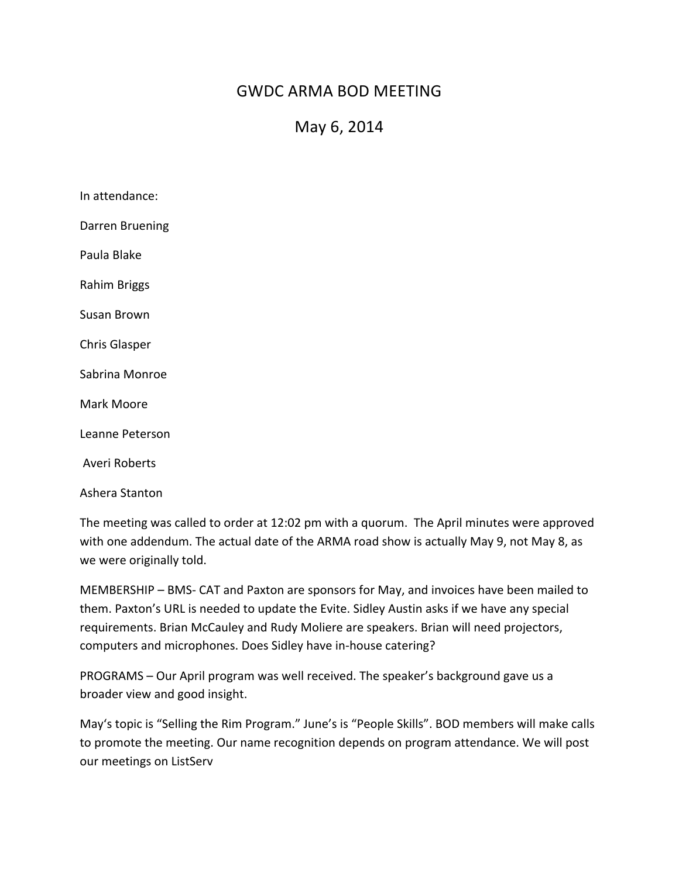## GWDC ARMA BOD MEETING

## May 6, 2014

| In attendance:       |
|----------------------|
| Darren Bruening      |
| Paula Blake          |
| Rahim Briggs         |
| Susan Brown          |
| <b>Chris Glasper</b> |
| Sabrina Monroe       |
| Mark Moore           |
| Leanne Peterson      |
| Averi Roberts        |
| Ashera Stanton       |

The meeting was called to order at 12:02 pm with a quorum. The April minutes were approved with one addendum. The actual date of the ARMA road show is actually May 9, not May 8, as we were originally told.

MEMBERSHIP - BMS- CAT and Paxton are sponsors for May, and invoices have been mailed to them. Paxton's URL is needed to update the Evite. Sidley Austin asks if we have any special requirements. Brian McCauley and Rudy Moliere are speakers. Brian will need projectors, computers and microphones. Does Sidley have in-house catering?

PROGRAMS – Our April program was well received. The speaker's background gave us a broader view and good insight.

May's topic is "Selling the Rim Program." June's is "People Skills". BOD members will make calls to promote the meeting. Our name recognition depends on program attendance. We will post our meetings on ListServ